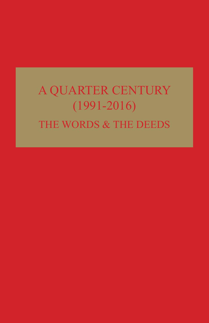# A QUARTER CENTURY (1991-2016) THE WORDS & THE DEEDS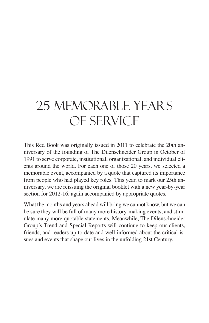# 25 Memorable Years of Service

This Red Book was originally issued in 2011 to celebrate the 20th anniversary of the founding of The Dilenschneider Group in October of 1991 to serve corporate, institutional, organizational, and individual clients around the world. For each one of those 20 years, we selected a memorable event, accompanied by a quote that captured its importance from people who had played key roles. This year, to mark our 25th anniversary, we are reissuing the original booklet with a new year-by-year section for 2012-16, again accompanied by appropriate quotes.

What the months and years ahead will bring we cannot know, but we can be sure they will be full of many more history-making events, and stimulate many more quotable statements. Meanwhile, The Dilenschneider Group's Trend and Special Reports will continue to keep our clients, friends, and readers up-to-date and well-informed about the critical issues and events that shape our lives in the unfolding 21st Century.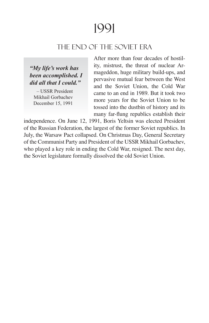### THE END OF THE SOVIET ERA

*"My life's work has been accomplished. I did all that I could."*

– USSR President Mikhail Gorbachev December 15, 1991

After more than four decades of hostility, mistrust, the threat of nuclear Armageddon, huge military build-ups, and pervasive mutual fear between the West and the Soviet Union, the Cold War came to an end in 1989. But it took two more years for the Soviet Union to be tossed into the dustbin of history and its many far-flung republics establish their

independence. On June 12, 1991, Boris Yeltsin was elected President of the Russian Federation, the largest of the former Soviet republics. In July, the Warsaw Pact collapsed. On Christmas Day, General Secretary of the Communist Party and President of the USSR Mikhail Gorbachev, who played a key role in ending the Cold War, resigned. The next day, the Soviet legislature formally dissolved the old Soviet Union.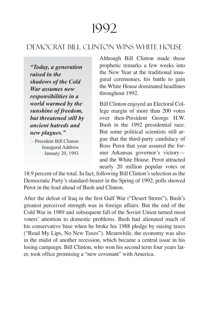### DEMOCRAT BILL CLINTON WINS WHITE HOUSE

*"Today, a generation raised in the shadows of the Cold War assumes new responsibilities in a world warmed by the sunshine of freedom, but threatened still by ancient hatreds and new plagues."*

– President Bill Clinton Inaugural Address January 20, 1993

Although Bill Clinton made those prophetic remarks a few weeks into the New Year at the traditional inaugural ceremonies, his battle to gain the White House dominated headlines throughout 1992.

Bill Clinton enjoyed an Electoral College margin of more than 200 votes over then-President George H.W. Bush in the 1992 presidential race. But some political scientists still argue that the third-party candidacy of Ross Perot that year assured the former Arkansas governor's victory and the White House. Perot attracted nearly 20 million popular votes or

18.9 percent of the total. In fact, following Bill Clinton's selection as the Democratic Party's standard-bearer in the Spring of 1992, polls showed Perot in the lead ahead of Bush and Clinton.

After the defeat of Iraq in the first Gulf War ("Desert Storm"), Bush's greatest perceived strength was in foreign affairs. But the end of the Cold War in 1989 and subsequent fall of the Soviet Union turned most voters' attention to domestic problems. Bush had alienated much of his conservative base when he broke his 1988 pledge by raising taxes ("Read My Lips, No New Taxes"). Meanwhile, the economy was also in the midst of another recession, which became a central issue in his losing campaign. Bill Clinton, who won his second term four years later, took office promising a "new covenant" with America.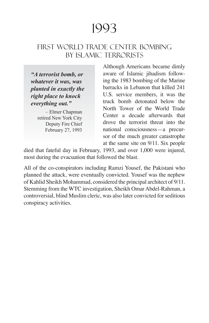#### FIRST WORLD TRADE CENTER BOMBING BY ISLAMIC TERRORISTS

*"A terrorist bomb, or whatever it was, was planted in exactly the right place to knock everything out."* 

> – Elmer Chapman retired New York City Deputy Fire Chief February 27, 1993

Although Americans became dimly aware of Islamic jihadism following the 1983 bombing of the Marine barracks in Lebanon that killed 241 U.S. service members, it was the truck bomb detonated below the North Tower of the World Trade Center a decade afterwards that drove the terrorist threat into the national consciousness—a precursor of the much greater catastrophe at the same site on 9/11. Six people

died that fateful day in February, 1993, and over 1,000 were injured, most during the evacuation that followed the blast.

All of the co-conspirators including Ramzi Yousef, the Pakistani who planned the attack, were eventually convicted. Yousef was the nephew of Kahlid Sheikh Mohammad, considered the principal architect of 9/11. Stemming from the WTC investigation, Sheikh Omar Abdel-Rahman, a controversial, blind Muslim cleric, was also later convicted for seditious conspiracy activities.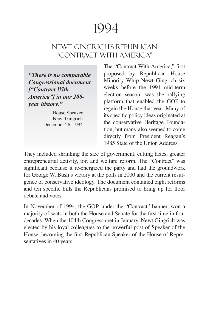#### NEWT GINGRICH'S REPUBLICAN "CONTRACT WITH AMERICA"

*"There is no comparable Congressional document ["Contract With America"] in our 200 year history."*

> – House Speaker Newt Gingrich December 26, 1994

The "Contract With America," first proposed by Republican House Minority Whip Newt Gingrich six weeks before the 1994 mid-term election season, was the rallying platform that enabled the GOP to regain the House that year. Many of its specific policy ideas originated at the conservative Heritage Foundation, but many also seemed to come directly from President Reagan's 1985 State of the Union Address.

They included shrinking the size of government, cutting taxes, greater entrepreneurial activity, tort and welfare reform. The "Contract" was significant because it re-energized the party and laid the groundwork for George W. Bush's victory at the polls in 2000 and the current resurgence of conservative ideology. The document contained eight reforms and ten specific bills the Republicans promised to bring up for floor debate and votes.

In November of 1994, the GOP, under the "Contract" banner, won a majority of seats in both the House and Senate for the first time in four decades. When the 104th Congress met in January, Newt Gingrich was elected by his loyal colleagues to the powerful post of Speaker of the House, becoming the first Republican Speaker of the House of Representatives in 40 years.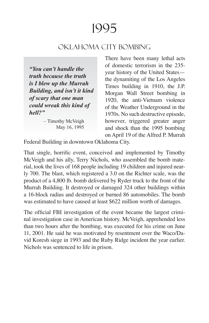### OKLAHOMA CITY BOMBING

*"You can't handle the truth because the truth is I blew up the Murrah Building, and isn't it kind of scary that one man could wreak this kind of hell?"*

> – Timothy McVeigh May 16, 1995

There have been many lethal acts of domestic terrorism in the 235 year history of the United States the dynamiting of the Los Angeles Times building in 1910, the J.P. Morgan Wall Street bombing in 1920, the anti-Vietnam violence of the Weather Underground in the 1970s. No such destructive episode, however, triggered greater anger and shock than the 1995 bombing on April 19 of the Alfred P. Murrah

Federal Building in downtown Oklahoma City.

That single, horrific event, conceived and implemented by Timothy McVeigh and his ally, Terry Nichols, who assembled the bomb material, took the lives of 168 people including 19 children and injured nearly 700. The blast, which registered a 3.0 on the Richter scale, was the product of a 4,800 lb. bomb delivered by Ryder truck to the front of the Murrah Building. It destroyed or damaged 324 other buildings within a 16-block radius and destroyed or burned 86 automobiles. The bomb was estimated to have caused at least \$622 million worth of damages.

The official FBI investigation of the event became the largest criminal investigation case in American history. McVeigh, apprehended less than two hours after the bombing, was executed for his crime on June 11, 2001. He said he was motivated by resentment over the Waco/David Koresh siege in 1993 and the Ruby Ridge incident the year earlier. Nichols was sentenced to life in prison.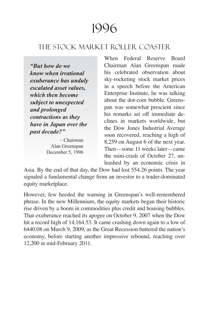### THE STOCK MARKET ROLLER COASTER

*"But how do we know when irrational exuberance has unduly escalated asset values, which then become subject to unexpected and prolonged contractions as they have in Japan over the past decade?"*

> – Chairman Alan Greenspan December 5, 1996

When Federal Reserve Board Chairman Alan Greenspan made his celebrated observation about sky-rocketing stock market prices in a speech before the American Enterprise Institute, he was talking about the dot-com bubble. Greenspan was somewhat prescient since his remarks set off immediate declines in markets worldwide, but the Dow Jones Industrial Average soon recovered, reaching a high of 8,259 on August 6 of the next year. Then—some 11 weeks later—came the mini-crash of October 27, unleashed by an economic crisis in

Asia. By the end of that day, the Dow had lost 554.26 points. The year signaled a fundamental change from an investor to a trader-dominated equity marketplace.

However, few heeded the warning in Greenspan's well-remembered phrase. In the new Millennium, the equity markets began their historic rise driven by a boom in commodities plus credit and housing bubbles. That exuberance reached its apogee on October 9, 2007 when the Dow hit a record high of 14,164.53. It came crashing down again to a low of 6440.08 on March 9, 2009, as the Great Recession battered the nation's economy, before starting another impressive rebound, reaching over 12,200 in mid-February 2011.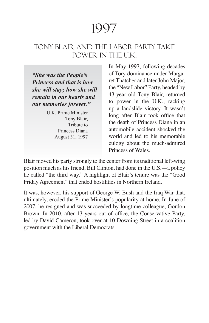#### TONY BLAIR AND THE LABOR PARTY TAKE POWER IN THE U.K.

*"She was the People's Princess and that is how she will stay; how she will remain in our hearts and our memories forever."*

> – U.K. Prime Minister Tony Blair, Tribute to Princess Diana August 31, 1997

In May 1997, following decades of Tory dominance under Margaret Thatcher and later John Major, the "New Labor" Party, headed by 43-year old Tony Blair, returned to power in the U.K., racking up a landslide victory. It wasn't long after Blair took office that the death of Princess Diana in an automobile accident shocked the world and led to his memorable eulogy about the much-admired Princess of Wales.

Blair moved his party strongly to the center from its traditional left-wing position much as his friend, Bill Clinton, had done in the U.S.—a policy he called "the third way." A highlight of Blair's tenure was the "Good Friday Agreement" that ended hostilities in Northern Ireland.

It was, however, his support of George W. Bush and the Iraq War that, ultimately, eroded the Prime Minister's popularity at home. In June of 2007, he resigned and was succeeded by longtime colleague, Gordon Brown. In 2010, after 13 years out of office, the Conservative Party, led by David Cameron, took over at 10 Downing Street in a coalition government with the Liberal Democrats.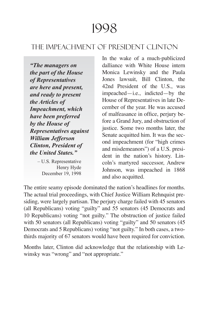#### THE IMPEACHMENT OF PRESIDENT CLINTON

*"The managers on the part of the House of Representatives are here and present, and ready to present the Articles of Impeachment, which have been preferred by the House of Representatives against William Jefferson Clinton, President of the United States."*

> – U.S. Representative Henry Hyde December 19, 1998

In the wake of a much-publicized dalliance with White House intern Monica Lewinsky and the Paula Jones lawsuit, Bill Clinton, the 42nd President of the U.S., was impeached—i.e., indicted—by the House of Representatives in late December of the year. He was accused of malfeasance in office, perjury before a Grand Jury, and obstruction of justice. Some two months later, the Senate acquitted him. It was the second impeachment (for "high crimes and misdemeanors") of a U.S. president in the nation's history. Lincoln's martyred successor, Andrew Johnson, was impeached in 1868 and also acquitted.

The entire seamy episode dominated the nation's headlines for months. The actual trial proceedings, with Chief Justice William Rehnquist presiding, were largely partisan. The perjury charge failed with 45 senators (all Republicans) voting "guilty" and 55 senators (45 Democrats and 10 Republicans) voting "not guilty." The obstruction of justice failed with 50 senators (all Republicans) voting "guilty" and 50 senators (45 Democrats and 5 Republicans) voting "not guilty." In both cases, a twothirds majority of 67 senators would have been required for conviction.

Months later, Clinton did acknowledge that the relationship with Lewinsky was "wrong" and "not appropriate."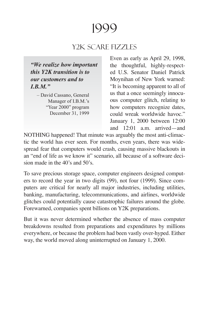### Y<sub>2</sub>K SCARE FIZZLES

*"We realize how important this Y2K transition is to our customers and to I.B.M."*

– David Cassano, General Manager of I.B.M.'s "Year 2000" program December 31, 1999

Even as early as April 29, 1998, the thoughtful, highly-respected U.S. Senator Daniel Patrick Moynihan of New York warned: "It is becoming apparent to all of us that a once seemingly innocuous computer glitch, relating to how computers recognize dates, could wreak worldwide havoc." January 1, 2000 between 12:00 and 12:01 a.m. arrived—and

NOTHING happened! That minute was arguably the most anti-climactic the world has ever seen. For months, even years, there was widespread fear that computers would crash, causing massive blackouts in an "end of life as we know it" scenario, all because of a software decision made in the 40's and 50's.

To save precious storage space, computer engineers designed computers to record the year in two digits (99), not four (1999). Since computers are critical for nearly all major industries, including utilities, banking, manufacturing, telecommunications, and airlines, worldwide glitches could potentially cause catastrophic failures around the globe. Forewarned, companies spent billions on Y2K preparations.

But it was never determined whether the absence of mass computer breakdowns resulted from preparations and expenditures by millions everywhere, or because the problem had been vastly over-hyped. Either way, the world moved along uninterrupted on January 1, 2000.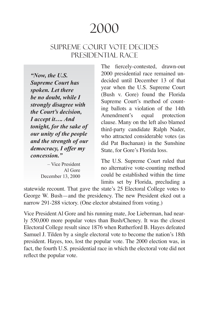#### SUPREME COURT VOTE DECIDES PRESIDENTIAL RACE

*"Now, the U.S. Supreme Court has spoken. Let there be no doubt, while I strongly disagree with the Court's decision, I accept it…. And tonight, for the sake of our unity of the people and the strength of our democracy, I offer my concession."*

> – Vice President Al Gore December 13, 2000

The fiercely-contested, drawn-out 2000 presidential race remained undecided until December 13 of that year when the U.S. Supreme Court (Bush v. Gore) found the Florida Supreme Court's method of counting ballots a violation of the 14th Amendment's equal protection clause. Many on the left also blamed third-party candidate Ralph Nader, who attracted considerable votes (as did Pat Buchanan) in the Sunshine State, for Gore's Florida loss.

The U.S. Supreme Court ruled that no alternative vote-counting method could be established within the time limits set by Florida, precluding a

statewide recount. That gave the state's 25 Electoral College votes to George W. Bush—and the presidency. The new President eked out a narrow 291-288 victory. (One elector abstained from voting.)

Vice President Al Gore and his running mate, Joe Lieberman, had nearly 550,000 more popular votes than Bush/Cheney. It was the closest Electoral College result since 1876 when Rutherford B. Hayes defeated Samuel J. Tilden by a single electoral vote to become the nation's 18th president. Hayes, too, lost the popular vote. The 2000 election was, in fact, the fourth U.S. presidential race in which the electoral vote did not reflect the popular vote.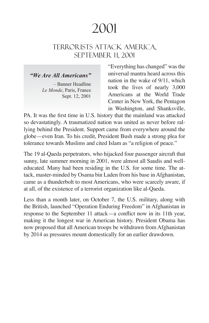#### TERRORISTS ATTACK AMERICA, SEPTEMBER 11, 2001

*"We Are All Americans"*

– Banner Headline *Le Monde*, Paris, France Sept. 12, 2001

"Everything has changed" was the universal mantra heard across this nation in the wake of 9/11, which took the lives of nearly 3,000 Americans at the World Trade Center in New York, the Pentagon in Washington, and Shanksville,

PA. It was the first time in U.S. history that the mainland was attacked so devastatingly. A traumatized nation was united as never before rallying behind the President. Support came from everywhere around the globe—even Iran. To his credit, President Bush made a strong plea for tolerance towards Muslims and cited Islam as "a religion of peace."

The 19 al-Qaeda perpetrators, who hijacked four passenger aircraft that sunny, late summer morning in 2001, were almost all Saudis and welleducated. Many had been residing in the U.S. for some time. The attack, master-minded by Osama bin Laden from his base in Afghanistan, came as a thunderbolt to most Americans, who were scarcely aware, if at all, of the existence of a terrorist organization like al-Qaeda.

Less than a month later, on October 7, the U.S. military, along with the British, launched "Operation Enduring Freedom" in Afghanistan in response to the September 11 attack—a conflict now in its 11th year, making it the longest war in American history. President Obama has now proposed that all American troops be withdrawn from Afghanistan by 2014 as pressures mount domestically for an earlier drawdown.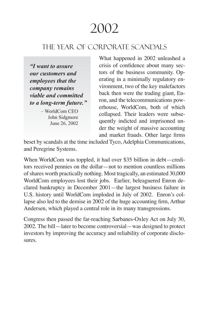### THE YEAR OF CORPORATE SCANDALS

*"I want to assure our customers and employees that the company remains viable and committed to a long-term future."*

> – WorldCom CEO John Sidgmore June 26, 2002

What happened in 2002 unleashed a crisis of confidence about many sectors of the business community. Operating in a minimally regulatory environment, two of the key malefactors back then were the trading giant, Enron, and the telecommunications powerhouse, WorldCom, both of which collapsed. Their leaders were subsequently indicted and imprisoned under the weight of massive accounting and market frauds. Other large firms

beset by scandals at the time included Tyco, Adelphia Communications, and Peregrine Systems.

When WorldCom was toppled, it had over \$35 billion in debt—creditors received pennies on the dollar—not to mention countless millions of shares worth practically nothing. Most tragically, an estimated 30,000 WorldCom employees lost their jobs. Earlier, beleaguered Enron declared bankruptcy in December 2001—the largest business failure in U.S. history until WorldCom imploded in July of 2002. Enron's collapse also led to the demise in 2002 of the huge accounting firm, Arthur Andersen, which played a central role in its many transgressions.

Congress then passed the far-reaching Sarbanes-Oxley Act on July 30, 2002. The bill—later to become controversial—was designed to protect investors by improving the accuracy and reliability of corporate disclosures.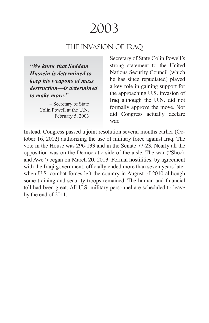#### THE INVASION OF IRAQ

*"We know that Saddam Hussein is determined to keep his weapons of mass destruction—is determined to make more."*

> – Secretary of State Colin Powell at the U.N. February 5, 2003

Secretary of State Colin Powell's strong statement to the United Nations Security Council (which he has since repudiated) played a key role in gaining support for the approaching U.S. invasion of Iraq although the U.N. did not formally approve the move. Nor did Congress actually declare war.

Instead, Congress passed a joint resolution several months earlier (October 16, 2002) authorizing the use of military force against Iraq. The vote in the House was 296-133 and in the Senate 77-23. Nearly all the opposition was on the Democratic side of the aisle. The war ("Shock and Awe") began on March 20, 2003. Formal hostilities, by agreement with the Iraqi government, officially ended more than seven years later when U.S. combat forces left the country in August of 2010 although some training and security troops remained. The human and financial toll had been great. All U.S. military personnel are scheduled to leave by the end of 2011.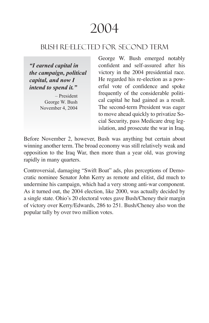### BUSH RE-ELECTED FOR SECOND TERM

*"I earned capital in the campaign, political capital, and now I intend to spend it."*

> – President George W. Bush November 4, 2004

George W. Bush emerged notably confident and self-assured after his victory in the 2004 presidential race. He regarded his re-election as a powerful vote of confidence and spoke frequently of the considerable political capital he had gained as a result. The second-term President was eager to move ahead quickly to privatize Social Security, pass Medicare drug legislation, and prosecute the war in Iraq.

Before November 2, however, Bush was anything but certain about winning another term. The broad economy was still relatively weak and opposition to the Iraq War, then more than a year old, was growing rapidly in many quarters.

Controversial, damaging "Swift Boat" ads, plus perceptions of Democratic nominee Senator John Kerry as remote and elitist, did much to undermine his campaign, which had a very strong anti-war component. As it turned out, the 2004 election, like 2000, was actually decided by a single state. Ohio's 20 electoral votes gave Bush/Cheney their margin of victory over Kerry/Edwards, 286 to 251. Bush/Cheney also won the popular tally by over two million votes.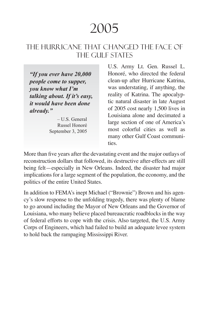#### THE HURRICANE THAT CHANGED THE FACE OF THE GULF STATES

*"If you ever have 20,000 people come to supper, you know what I'm talking about. If it's easy, it would have been done already."*

> – U.S. General Russel Honoré September 3, 2005

U.S. Army Lt. Gen. Russel L. Honoré, who directed the federal clean-up after Hurricane Katrina, was understating, if anything, the reality of Katrina. The apocalyptic natural disaster in late August of 2005 cost nearly 1,500 lives in Louisiana alone and decimated a large section of one of America's most colorful cities as well as many other Gulf Coast communities.

More than five years after the devastating event and the major outlays of reconstruction dollars that followed, its destructive after-effects are still being felt—especially in New Orleans. Indeed, the disaster had major implications for a large segment of the population, the economy, and the politics of the entire United States.

In addition to FEMA's inept Michael ("Brownie") Brown and his agency's slow response to the unfolding tragedy, there was plenty of blame to go around including the Mayor of New Orleans and the Governor of Louisiana, who many believe placed bureaucratic roadblocks in the way of federal efforts to cope with the crisis. Also targeted, the U.S. Army Corps of Engineers, which had failed to build an adequate levee system to hold back the rampaging Mississippi River.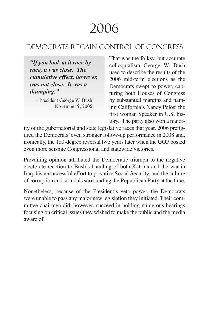### DEMOCRATS REGAIN CONTROL OF CONGRESS

*"If you look at it race by race, it was close. The cumulative effect, however, was not close. It was a thumping."*

– President George W. Bush November 9, 2006

That was the folksy, but accurate colloquialism George W. Bush used to describe the results of the 2006 mid-term elections as the Democrats swept to power, capturing both Houses of Congress by substantial margins and naming California's Nancy Pelosi the first woman Speaker in U.S. history. The party also won a major-

ity of the gubernatorial and state legislative races that year. 2006 prefigured the Democrats' even stronger follow-up performance in 2008 and, ironically, the 180-degree reversal two years later when the GOP posted even more seismic Congressional and statewide victories.

Prevailing opinion attributed the Democratic triumph to the negative electorate reaction to Bush's handling of both Katrina and the war in Iraq, his unsuccessful effort to privatize Social Security, and the culture of corruption and scandals surrounding the Republican Party at the time.

Nonetheless, because of the President's veto power, the Democrats were unable to pass any major new legislation they initiated. Their committee chairmen did, however, succeed in holding numerous hearings focusing on critical issues they wished to make the public and the media aware of.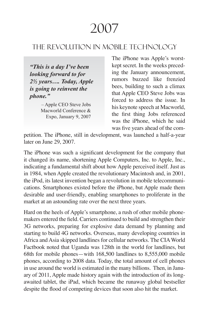### THE REVOLUTION IN MOBILE TECHNOLOGY

*"This is a day I've been looking forward to for 2½ years…. Today, Apple is going to reinvent the phone."*

> – Apple CEO Steve Jobs Macworld Conference & Expo, January 9, 2007

The iPhone was Apple's worstkept secret. In the weeks preceding the January announcement, rumors buzzed like frenzied bees, building to such a climax that Apple CEO Steve Jobs was forced to address the issue. In his keynote speech at Macworld, the first thing Jobs referenced was the iPhone, which he said was five years ahead of the com-

petition. The iPhone, still in development, was launched a half-a-year later on June 29, 2007.

The iPhone was such a significant development for the company that it changed its name, shortening Apple Computers, Inc. to Apple, Inc., indicating a fundamental shift about how Apple perceived itself. Just as in 1984, when Apple created the revolutionary Macintosh and, in 2001, the iPod, its latest invention began a revolution in mobile telecommunications. Smartphones existed before the iPhone, but Apple made them desirable and user-friendly, enabling smartphones to proliferate in the market at an astounding rate over the next three years.

Hard on the heels of Apple's smartphone, a rush of other mobile phonemakers entered the field. Carriers continued to build and strengthen their 3G networks, preparing for explosive data demand by planning and starting to build 4G networks. Overseas, many developing countries in Africa and Asia skipped landlines for cellular networks. The CIA World Factbook noted that Uganda was 128th in the world for landlines, but 68th for mobile phones—with 168,500 landlines to 8,555,000 mobile phones, according to 2008 data. Today, the total amount of cell phones in use around the world is estimated in the many billions. Then, in January of 2011, Apple made history again with the introduction of its longawaited tablet, the iPad, which became the runaway global bestseller despite the flood of competing devices that soon also hit the market.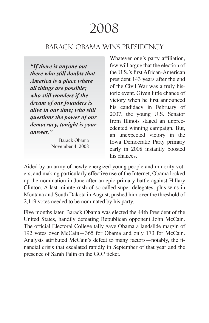#### BARACK OBAMA WINS PRESIDENCY

*"If there is anyone out there who still doubts that America is a place where all things are possible; who still wonders if the dream of our founders is alive in our time; who still questions the power of our democracy, tonight is your answer."*

> – Barack Obama November 4, 2008

Whatever one's party affiliation, few will argue that the election of the U.S.'s first African-American president 143 years after the end of the Civil War was a truly historic event. Given little chance of victory when he first announced his candidacy in February of 2007, the young U.S. Senator from Illinois staged an unprecedented winning campaign. But, an unexpected victory in the Iowa Democratic Party primary early in 2008 instantly boosted his chances.

Aided by an army of newly energized young people and minority voters, and making particularly effective use of the Internet, Obama locked up the nomination in June after an epic primary battle against Hillary Clinton. A last-minute rush of so-called super delegates, plus wins in Montana and South Dakota in August, pushed him over the threshold of 2,119 votes needed to be nominated by his party.

Five months later, Barack Obama was elected the 44th President of the United States, handily defeating Republican opponent John McCain. The official Electoral College tally gave Obama a landslide margin of 192 votes over McCain—365 for Obama and only 173 for McCain. Analysts attributed McCain's defeat to many factors—notably, the financial crisis that escalated rapidly in September of that year and the presence of Sarah Palin on the GOP ticket.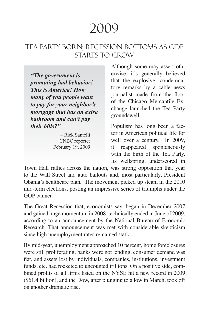#### TEA PARTY BORN; RECESSION BOTTOMS AS GDP STARTS TO GROW

*"The government is promoting bad behavior! This is America! How many of you people want to pay for your neighbor's mortgage that has an extra bathroom and can't pay their bills?"*

> – Rick Santelli CNBC reporter February 19, 2009

Although some may assert otherwise, it's generally believed that the explosive, condemnatory remarks by a cable news journalist made from the floor of the Chicago Mercantile Exchange launched the Tea Party groundswell.

Populism has long been a factor in American political life for well over a century. In 2009, it reappeared spontaneously with the birth of the Tea Party. Its wellspring, underscored in

Town Hall rallies across the nation, was strong opposition that year to the Wall Street and auto bailouts and, most particularly, President Obama's healthcare plan. The movement picked up steam in the 2010 mid-term elections, posting an impressive series of triumphs under the GOP banner.

The Great Recession that, economists say, began in December 2007 and gained huge momentum in 2008, technically ended in June of 2009, according to an announcement by the National Bureau of Economic Research. That announcement was met with considerable skepticism since high unemployment rates remained static.

By mid-year, unemployment approached 10 percent, home foreclosures were still proliferating, banks were not lending, consumer demand was flat, and assets lost by individuals, companies, institutions, investment funds, etc. had rocketed to uncounted trillions. On a positive side, combined profits of all firms listed on the NYSE hit a new record in 2009 (\$61.4 billion), and the Dow, after plunging to a low in March, took off on another dramatic rise.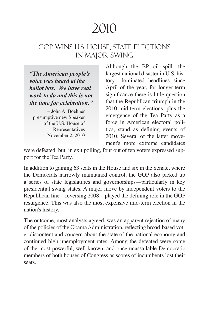### GOP WINS U.S. HOUSE, STATE ELECTIONS IN MAJOR SWING

*"The American people's voice was heard at the ballot box. We have real work to do and this is not the time for celebration."* 

– John A. Boehner presumptive new Speaker of the U.S. House of Representatives November 2, 2010

Although the BP oil spill—the largest national disaster in U.S. history—dominated headlines since April of the year, for longer-term significance there is little question that the Republican triumph in the 2010 mid-term elections, plus the emergence of the Tea Party as a force in American electoral politics, stand as defining events of 2010. Several of the latter movement's more extreme candidates

were defeated, but, in exit polling, four out of ten voters expressed support for the Tea Party.

In addition to gaining 63 seats in the House and six in the Senate, where the Democrats narrowly maintained control, the GOP also picked up a series of state legislatures and governorships—particularly in key presidential swing states. A major move by independent voters to the Republican line—reversing 2008—played the defining role in the GOP resurgence. This was also the most expensive mid-term election in the nation's history.

The outcome, most analysts agreed, was an apparent rejection of many of the policies of the Obama Administration, reflecting broad-based voter discontent and concern about the state of the national economy and continued high unemployment rates. Among the defeated were some of the most powerful, well-known, and once-unassailable Democratic members of both houses of Congress as scores of incumbents lost their seats.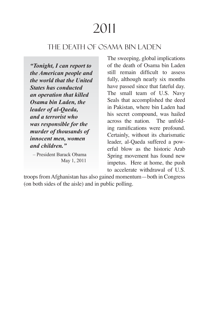### The Death of Osama bin Laden

*"Tonight, I can report to the American people and the world that the United States has conducted an operation that killed Osama bin Laden, the leader of al-Qaeda, and a terrorist who was responsible for the murder of thousands of innocent men, women and children."*

– President Barack Obama May 1, 2011

The sweeping, global implications of the death of Osama bin Laden still remain difficult to assess fully, although nearly six months have passed since that fateful day. The small team of U.S. Navy Seals that accomplished the deed in Pakistan, where bin Laden had his secret compound, was hailed across the nation. The unfolding ramifications were profound. Certainly, without its charismatic leader, al-Qaeda suffered a powerful blow as the historic Arab Spring movement has found new impetus. Here at home, the push to accelerate withdrawal of U.S.

troops from Afghanistan has also gained momentum—both in Congress (on both sides of the aisle) and in public polling.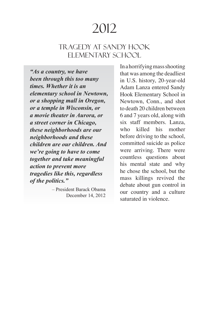#### Tragedy at Sandy Hook Elementary School

*"As a country, we have been through this too many times. Whether it is an elementary school in Newtown, or a shopping mall in Oregon, or a temple in Wisconsin, or a movie theater in Aurora, or a street corner in Chicago, these neighborhoods are our neighborhoods and these children are our children. And we're going to have to come together and take meaningful action to prevent more tragedies like this, regardless of the politics."*

> – President Barack Obama December 14, 2012

In a horrifying mass shooting that was among the deadliest in U.S. history, 20-year-old Adam Lanza entered Sandy Hook Elementary School in Newtown, Conn., and shot to death 20 children between 6 and 7 years old, along with six staff members. Lanza, who killed his mother before driving to the school, committed suicide as police were arriving. There were countless questions about his mental state and why he chose the school, but the mass killings revived the debate about gun control in our country and a culture saturated in violence.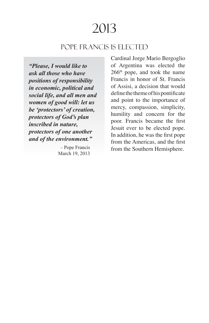#### POPE FRANCIS IS ELECTED

*"Please, I would like to ask all those who have positions of responsibility in economic, political and social life, and all men and women of good will: let us be 'protectors' of creation, protectors of God's plan inscribed in nature, protectors of one another and of the environment."*

> – Pope Francis March 19, 2013

Cardinal Jorge Mario Bergoglio of Argentina was elected the 266th pope, and took the name Francis in honor of St. Francis of Assisi, a decision that would define the theme of his pontificate and point to the importance of mercy, compassion, simplicity, humility and concern for the poor. Francis became the first Jesuit ever to be elected pope. In addition, he was the first pope from the Americas, and the first from the Southern Hemisphere.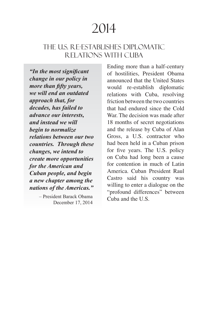#### The U.S. Re-Establishes Diplomatic Relations with Cuba

*"In the most significant change in our policy in more than fifty years, we will end an outdated approach that, for decades, has failed to advance our interests, and instead we will begin to normalize relations between our two countries. Through these changes, we intend to create more opportunities for the American and Cuban people, and begin a new chapter among the nations of the Americas."*

> – President Barack Obama December 17, 2014

Ending more than a half-century of hostilities, President Obama announced that the United States would re-establish diplomatic relations with Cuba, resolving friction between the two countries that had endured since the Cold War. The decision was made after 18 months of secret negotiations and the release by Cuba of Alan Gross, a U.S. contractor who had been held in a Cuban prison for five years. The U.S. policy on Cuba had long been a cause for contention in much of Latin America. Cuban President Raul Castro said his country was willing to enter a dialogue on the "profound differences" between Cuba and the U.S.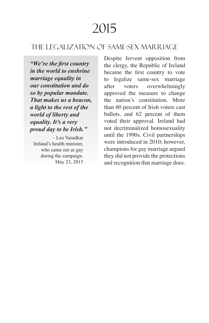### The Legalization of Same-Sex Marriage

*"We're the first country in the world to enshrine marriage equality in our constitution and do so by popular mandate. That makes us a beacon, a light to the rest of the world of liberty and equality. It's a very proud day to be Irish."*

– Leo Varadkar Ireland's health minister, who came out as gay during the campaign. May 23, 2015

Despite fervent opposition from the clergy, the Republic of Ireland became the first country to vote to legalize same-sex marriage after voters overwhelmingly approved the measure to change the nation's constitution. More than 60 percent of Irish voters cast ballots, and 62 percent of them voted their approval. Ireland had not decriminalized homosexuality until the 1990s. Civil partnerships were introduced in 2010; however, champions for gay marriage argued they did not provide the protections and recognition that marriage does.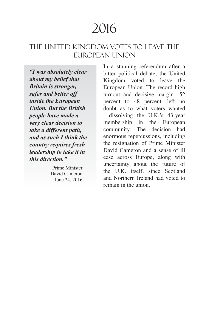#### The United Kingdom Votes to Leave the European Union

*"I was absolutely clear about my belief that Britain is stronger, safer and better off inside the European Union. But the British people have made a very clear decision to take a different path, and as such I think the country requires fresh leadership to take it in this direction."*

> – Prime Minister David Cameron June 24, 2016

In a stunning referendum after a bitter political debate, the United Kingdom voted to leave the European Union. The record high turnout and decisive margin—52 percent to 48 percent—left no doubt as to what voters wanted —dissolving the U.K.'s 43-year membership in the European community. The decision had enormous repercussions, including the resignation of Prime Minister David Cameron and a sense of ill ease across Europe, along with uncertainty about the future of the U.K. itself, since Scotland and Northern Ireland had voted to remain in the union.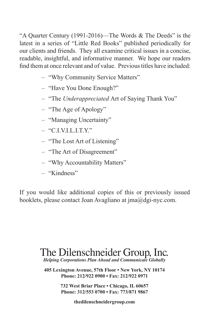"A Quarter Century (1991-2016)—The Words & The Deeds" is the latest in a series of "Little Red Books" published periodically for our clients and friends. They all examine critical issues in a concise, readable, insightful, and informative manner. We hope our readers find them at once relevant and of value. Previous titles have included:

- "Why Community Service Matters"
- "Have You Done Enough?"
- "The *Underappreciated* Art of Saying Thank You"
- "The Age of Apology"
- "Managing Uncertainty"
- $-$  "C.I.VII.I.T.Y"
- "The Lost Art of Listening"
- "The Art of Disagreement"
- "Why Accountability Matters"
- "Kindness"

If you would like additional copies of this or previously issued booklets, please contact Joan Avagliano at jma@dgi-nyc.com.

### The Dilenschneider Group, Inc.

*Helping Corporations Plan Ahead and Communicate Globally* 

**405 Lexington Avenue, 57th Floor • New York, NY 10174 Phone: 212/922 0900 • Fax: 212/922 0971**

> **732 West Briar Place • Chicago, IL 60657 Phone: 312/553 0700 • Fax: 773/871 9867**

> > **thedilenschneidergroup.com**